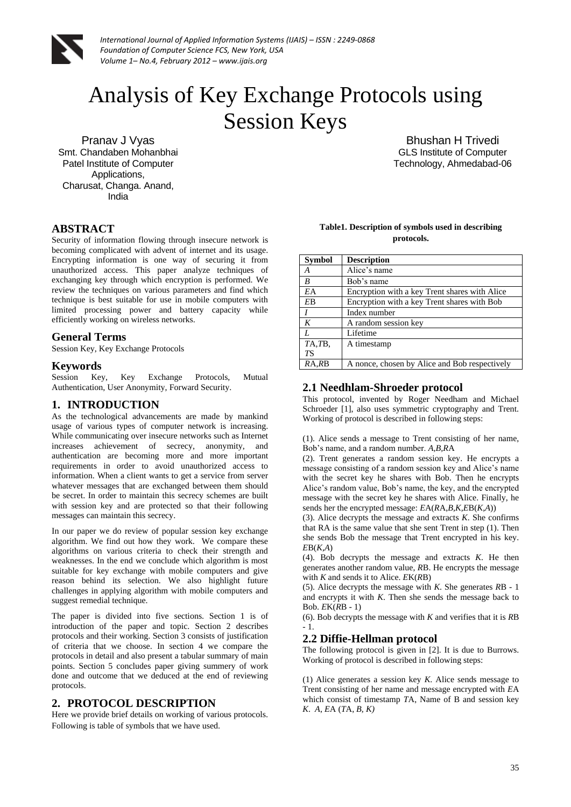

# Analysis of Key Exchange Protocols using Session Keys

Pranav J Vyas Smt. Chandaben Mohanbhai Patel Institute of Computer Applications, Charusat, Changa. Anand, India

## **ABSTRACT**

Security of information flowing through insecure network is becoming complicated with advent of internet and its usage. Encrypting information is one way of securing it from unauthorized access. This paper analyze techniques of exchanging key through which encryption is performed. We review the techniques on various parameters and find which technique is best suitable for use in mobile computers with limited processing power and battery capacity while efficiently working on wireless networks.

#### **General Terms**

Session Key, Key Exchange Protocols

#### **Keywords**

Session Key, Key Exchange Protocols, Mutual Authentication, User Anonymity, Forward Security.

#### **1. INTRODUCTION**

As the technological advancements are made by mankind usage of various types of computer network is increasing. While communicating over insecure networks such as Internet increases achievement of secrecy, anonymity, and authentication are becoming more and more important requirements in order to avoid unauthorized access to information. When a client wants to get a service from server whatever messages that are exchanged between them should be secret. In order to maintain this secrecy schemes are built with session key and are protected so that their following messages can maintain this secrecy.

In our paper we do review of popular session key exchange algorithm. We find out how they work. We compare these algorithms on various criteria to check their strength and weaknesses. In the end we conclude which algorithm is most suitable for key exchange with mobile computers and give reason behind its selection. We also highlight future challenges in applying algorithm with mobile computers and suggest remedial technique.

The paper is divided into five sections. Section 1 is of introduction of the paper and topic. Section 2 describes protocols and their working. Section 3 consists of justification of criteria that we choose. In section 4 we compare the protocols in detail and also present a tabular summary of main points. Section 5 concludes paper giving summery of work done and outcome that we deduced at the end of reviewing protocols.

## **2. PROTOCOL DESCRIPTION**

Here we provide brief details on working of various protocols. Following is table of symbols that we have used.

Bhushan H Trivedi GLS Institute of Computer Technology, Ahmedabad-06

#### **Table1. Description of symbols used in describing protocols.**

| <b>Symbol</b>    | <b>Description</b>                            |
|------------------|-----------------------------------------------|
| A                | Alice's name                                  |
| B                | Bob's name                                    |
| EA               | Encryption with a key Trent shares with Alice |
| <b>EB</b>        | Encryption with a key Trent shares with Bob   |
| I                | Index number                                  |
| K                | A random session key                          |
| $\boldsymbol{I}$ | Lifetime                                      |
| TA,TB,           | A timestamp                                   |
| <b>TS</b>        |                                               |
| RA,RB            | A nonce, chosen by Alice and Bob respectively |

#### **2.1 Needhlam-Shroeder protocol**

This protocol, invented by Roger Needham and Michael Schroeder [1], also uses symmetric cryptography and Trent. Working of protocol is described in following steps:

(1). Alice sends a message to Trent consisting of her name, Bob's name, and a random number. *A,B,R*A

(2). Trent generates a random session key. He encrypts a message consisting of a random session key and Alice's name with the secret key he shares with Bob. Then he encrypts Alice's random value, Bob's name, the key, and the encrypted message with the secret key he shares with Alice. Finally, he sends her the encrypted message: *E*A(*R*A,*B,K,E*B(*K,A*))

(3). Alice decrypts the message and extracts *K*. She confirms that RA is the same value that she sent Trent in step (1). Then she sends Bob the message that Trent encrypted in his key. *E*B(*K,A*)

(4). Bob decrypts the message and extracts *K*. He then generates another random value, *R*B. He encrypts the message with *K* and sends it to Alice. *E*K(*R*B)

(5). Alice decrypts the message with *K*. She generates *R*B - 1 and encrypts it with *K*. Then she sends the message back to Bob. *E*K(*R*B - 1)

(6). Bob decrypts the message with *K* and verifies that it is *R*B  $-1$ 

## **2.2 Diffie-Hellman protocol**

The following protocol is given in [2]. It is due to Burrows. Working of protocol is described in following steps:

(1) Alice generates a session key *K*. Alice sends message to Trent consisting of her name and message encrypted with *E*A which consist of timestamp *T*A, Name of B and session key *K*. *A*, *E*A (*T*A, *B, K)*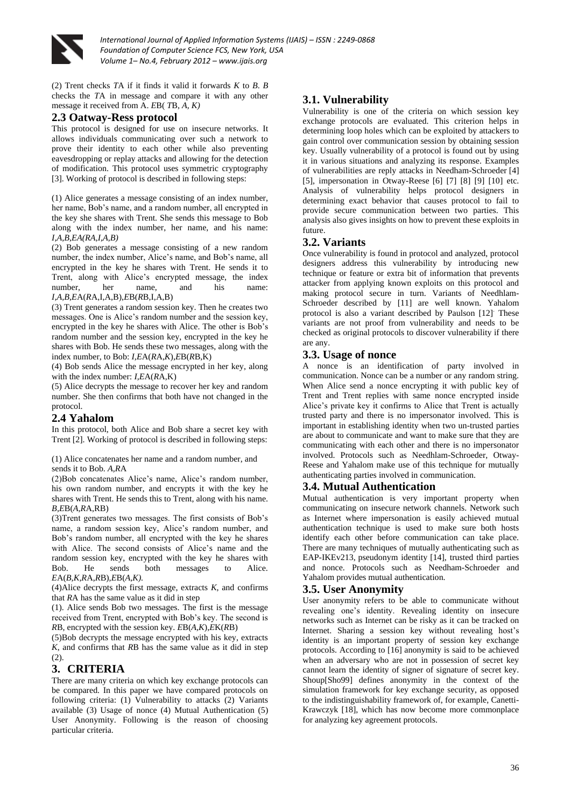

(2) Trent checks *T*A if it finds it valid it forwards *K* to *B*. *B* checks the *T*A in message and compare it with any other message it received from A. *E*B( *T*B, *A, K)*

## **2.3 Oatway-Ress protocol**

This protocol is designed for use on insecure networks. It allows individuals communicating over such a network to prove their identity to each other while also preventing eavesdropping or replay attacks and allowing for the detection of modification. This protocol uses symmetric cryptography [3]. Working of protocol is described in following steps:

(1) Alice generates a message consisting of an index number, her name. Bob's name, and a random number, all encrypted in the key she shares with Trent. She sends this message to Bob along with the index number, her name, and his name: *I,A,B,EA(RA,I,A,B)*

(2) Bob generates a message consisting of a new random number, the index number, Alice's name, and Bob's name, all encrypted in the key he shares with Trent. He sends it to Trent, along with Alice's encrypted message, the index number, her name, and his name: *I,A,B,E*A(*R*A,I,A,B),*E*B(*R*B,I,A,B)

(3) Trent generates a random session key. Then he creates two messages. One is Alice's random number and the session key, encrypted in the key he shares with Alice. The other is Bob's random number and the session key, encrypted in the key he shares with Bob. He sends these two messages, along with the index number, to Bob: *I,E*A(*R*A,*K*),*E*B(*R*B,K)

(4) Bob sends Alice the message encrypted in her key, along with the index number: *I,E*A(*R*A,K)

(5) Alice decrypts the message to recover her key and random number. She then confirms that both have not changed in the protocol.

## **2.4 Yahalom**

In this protocol, both Alice and Bob share a secret key with Trent [2]. Working of protocol is described in following steps:

(1) Alice concatenates her name and a random number, and sends it to Bob. *A,R*A

(2)Bob concatenates Alice's name, Alice's random number, his own random number, and encrypts it with the key he shares with Trent. He sends this to Trent, along with his name. *B,E*B(*A,R*A,RB)

(3)Trent generates two messages. The first consists of Bob's name, a random session key, Alice's random number, and Bob's random number, all encrypted with the key he shares with Alice. The second consists of Alice's name and the random session key, encrypted with the key he shares with Bob. He sends both messages to Alice. *E*A(*B,K,R*A,*R*B)*,E*B(*A,K).*

(4)Alice decrypts the first message, extracts *K*, and confirms that *R*A has the same value as it did in step

(1). Alice sends Bob two messages. The first is the message received from Trent, encrypted with Bob's key. The second is *R*B, encrypted with the session key. *E*B(*A,K*),*E*K(*R*B)

(5)Bob decrypts the message encrypted with his key, extracts *K*, and confirms that *R*B has the same value as it did in step  $(2)$ .

# **3. CRITERIA**

There are many criteria on which key exchange protocols can be compared. In this paper we have compared protocols on following criteria: (1) Vulnerability to attacks (2) Variants available (3) Usage of nonce (4) Mutual Authentication (5) User Anonymity. Following is the reason of choosing particular criteria.

# **3.1. Vulnerability**

Vulnerability is one of the criteria on which session key exchange protocols are evaluated. This criterion helps in determining loop holes which can be exploited by attackers to gain control over communication session by obtaining session key. Usually vulnerability of a protocol is found out by using it in various situations and analyzing its response. Examples of vulnerabilities are reply attacks in Needham-Schroeder [4] [5], impersonation in Otway-Reese [6] [7] [8] [9] [10] etc. Analysis of vulnerability helps protocol designers in determining exact behavior that causes protocol to fail to provide secure communication between two parties. This analysis also gives insights on how to prevent these exploits in future.

## **3.2. Variants**

Once vulnerability is found in protocol and analyzed, protocol designers address this vulnerability by introducing new technique or feature or extra bit of information that prevents attacker from applying known exploits on this protocol and making protocol secure in turn. Variants of Needhlam-Schroeder described by [11] are well known. Yahalom protocol is also a variant described by Paulson [12]. These variants are not proof from vulnerability and needs to be checked as original protocols to discover vulnerability if there are any.

## **3.3. Usage of nonce**

A nonce is an identification of party involved in communication. Nonce can be a number or any random string. When Alice send a nonce encrypting it with public key of Trent and Trent replies with same nonce encrypted inside Alice's private key it confirms to Alice that Trent is actually trusted party and there is no impersonator involved. This is important in establishing identity when two un-trusted parties are about to communicate and want to make sure that they are communicating with each other and there is no impersonator involved. Protocols such as Needhlam-Schroeder, Otway-Reese and Yahalom make use of this technique for mutually authenticating parties involved in communication.

#### **3.4. Mutual Authentication**

Mutual authentication is very important property when communicating on insecure network channels. Network such as Internet where impersonation is easily achieved mutual authentication technique is used to make sure both hosts identify each other before communication can take place. There are many techniques of mutually authenticating such as EAP-IKEv213, pseudonym identity [14], trusted third parties and nonce. Protocols such as Needham-Schroeder and Yahalom provides mutual authentication.

#### **3.5. User Anonymity**

User anonymity refers to be able to communicate without revealing one's identity. Revealing identity on insecure networks such as Internet can be risky as it can be tracked on Internet. Sharing a session key without revealing host's identity is an important property of session key exchange protocols. According to [16] anonymity is said to be achieved when an adversary who are not in possession of secret key cannot learn the identity of signer of signature of secret key. Shoup[Sho99] defines anonymity in the context of the simulation framework for key exchange security, as opposed to the indistinguishability framework of, for example, Canetti-Krawczyk [18], which has now become more commonplace for analyzing key agreement protocols.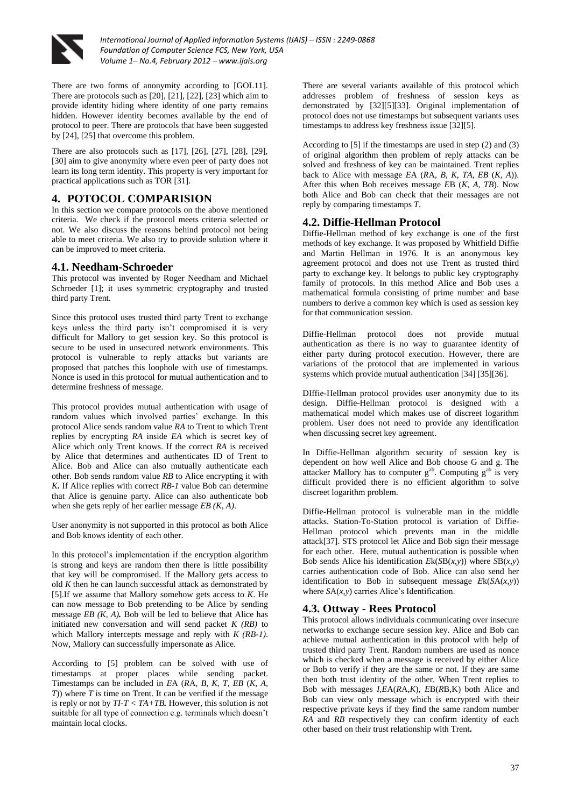

There are two forms of anonymity according to [GOL11]. There are protocols such as [20], [21], [22], [23] which aim to provide identity hiding where identity of one party remains hidden. However identity becomes available by the end of protocol to peer. There are protocols that have been suggested by [24], [25] that overcome this problem.

There are also protocols such as [17], [26], [27], [28], [29], [30] aim to give anonymity where even peer of party does not learn its long term identity. This property is very important for practical applications such as TOR [31].

## **4. POTOCOL COMPARISION**

In this section we compare protocols on the above mentioned criteria. We check if the protocol meets criteria selected or not. We also discuss the reasons behind protocol not being able to meet criteria. We also try to provide solution where it can be improved to meet criteria.

## **4.1. Needham-Schroeder**

This protocol was invented by Roger Needham and Michael Schroeder [1]; it uses symmetric cryptography and trusted third party Trent.

Since this protocol uses trusted third party Trent to exchange keys unless the third party isn't compromised it is very difficult for Mallory to get session key. So this protocol is secure to be used in unsecured network environments. This protocol is vulnerable to reply attacks but variants are proposed that patches this loophole with use of timestamps. Nonce is used in this protocol for mutual authentication and to determine freshness of message.

This protocol provides mutual authentication with usage of random values which involved parties' exchange. In this protocol Alice sends random value *RA* to Trent to which Trent replies by encrypting *RA* inside *EA* which is secret key of Alice which only Trent knows. If the correct *RA* is received by Alice that determines and authenticates ID of Trent to Alice. Bob and Alice can also mutually authenticate each other. Bob sends random value *RB* to Alice encrypting it with *K***.** If Alice replies with correct *RB-1* value Bob can determine that Alice is genuine party. Alice can also authenticate bob when she gets reply of her earlier message *EB (K, A)*.

User anonymity is not supported in this protocol as both Alice and Bob knows identity of each other.

In this protocol's implementation if the encryption algorithm is strong and keys are random then there is little possibility that key will be compromised. If the Mallory gets access to old *K* then he can launch successful attack as demonstrated by [5].If we assume that Mallory somehow gets access to *K*. He can now message to Bob pretending to be Alice by sending message *EB (K, A).* Bob will be led to believe that Alice has initiated new conversation and will send packet *K (RB)* to which Mallory intercepts message and reply with *K (RB-1)*. Now, Mallory can successfully impersonate as Alice.

According to [5] problem can be solved with use of timestamps at proper places while sending packet. Timestamps can be included in *E*A (*R*A, *B, K, T, EB* (*K, A, T*)) where *T* is time on Trent. It can be verified if the message is reply or not by *TI-T < TA+TB.* However, this solution is not suitable for all type of connection e.g. terminals which doesn't maintain local clocks.

There are several variants available of this protocol which addresses problem of freshness of session keys as demonstrated by [32][5][33]. Original implementation of protocol does not use timestamps but subsequent variants uses timestamps to address key freshness issue [32][5].

According to [5] if the timestamps are used in step (2) and (3) of original algorithm then problem of reply attacks can be solved and freshness of key can be maintained. Trent replies back to Alice with message *E*A (*R*A, *B, K, TA, EB* (*K, A*)). After this when Bob receives message *E*B (*K, A, TB*). Now both Alice and Bob can check that their messages are not reply by comparing timestamps *T*.

## **4.2. Diffie-Hellman Protocol**

Diffie-Hellman method of key exchange is one of the first methods of key exchange. It was proposed by Whitfield Diffie and Martin Hellman in 1976. It is an anonymous key agreement protocol and does not use Trent as trusted third party to exchange key. It belongs to public key cryptography family of protocols. In this method Alice and Bob uses a mathematical formula consisting of prime number and base numbers to derive a common key which is used as session key for that communication session.

Diffie-Hellman protocol does not provide mutual authentication as there is no way to guarantee identity of either party during protocol execution. However, there are variations of the protocol that are implemented in various systems which provide mutual authentication [34] [35][36].

DIffie-Hellman protocol provides user anonymity due to its design. Diffie-Hellman protocol is designed with a mathematical model which makes use of discreet logarithm problem. User does not need to provide any identification when discussing secret key agreement.

In Diffie-Hellman algorithm security of session key is dependent on how well Alice and Bob choose G and g. The attacker Mallory has to computer  $g^{ab}$ . Computing  $g^{ab}$  is very difficult provided there is no efficient algorithm to solve discreet logarithm problem.

Diffie-Hellman protocol is vulnerable man in the middle attacks. Station-To-Station protocol is variation of Diffie-Hellman protocol which prevents man in the middle attack[37]. STS protocol let Alice and Bob sign their message for each other. Here, mutual authentication is possible when Bob sends Alice his identification  $E_k(SB(x, y))$  where  $SB(x, y)$ carries authentication code of Bob. Alice can also send her identification to Bob in subsequent message *E*k(*S*A(*x,y*)) where *S*A(*x,y*) carries Alice's Identification.

# **4.3. Ottway - Rees Protocol**

This protocol allows individuals communicating over insecure networks to exchange secure session key. Alice and Bob can achieve mutual authentication in this protocol with help of trusted third party Trent. Random numbers are used as nonce which is checked when a message is received by either Alice or Bob to verify if they are the same or not. If they are same then both trust identity of the other. When Trent replies to Bob with messages *I,E*A(*R*A,*K*), *E*B(*R*B,K) both Alice and Bob can view only message which is encrypted with their respective private keys if they find the same random number *RA* and *RB* respectively they can confirm identity of each other based on their trust relationship with Trent**.**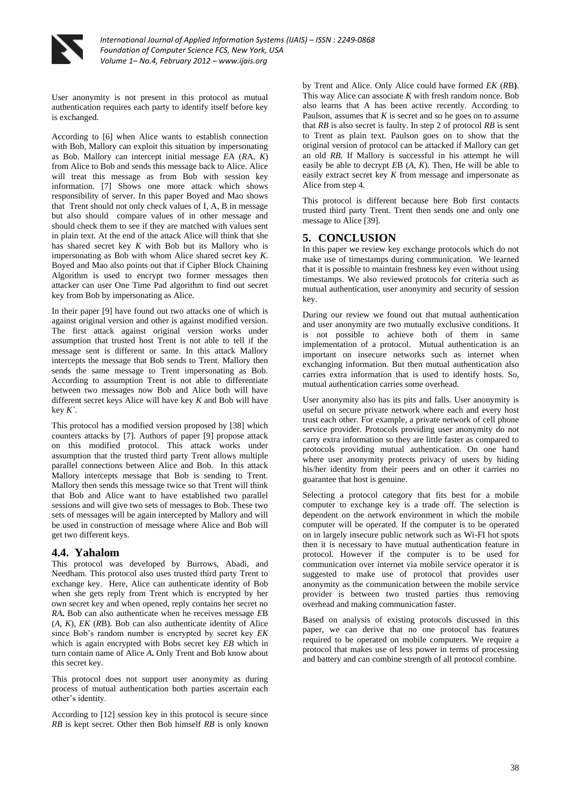

User anonymity is not present in this protocol as mutual authentication requires each party to identify itself before key is exchanged.

According to [6] when Alice wants to establish connection with Bob, Mallory can exploit this situation by impersonating as Bob. Mallory can intercept initial message *E*A (*R*A, *K*) from Alice to Bob and sends this message back to Alice. Alice will treat this message as from Bob with session key information. [7] Shows one more attack which shows responsibility of server. In this paper Boyed and Mao shows that Trent should not only check values of I, A, B in message but also should compare values of in other message and should check them to see if they are matched with values sent in plain text. At the end of the attack Alice will think that she has shared secret key *K* with Bob but its Mallory who is impersonating as Bob with whom Alice shared secret key *K*. Boyed and Mao also points out that if Cipher Block Chaining Algorithm is used to encrypt two former messages then attacker can user One Time Pad algorithm to find out secret key from Bob by impersonating as Alice.

In their paper [9] have found out two attacks one of which is against original version and other is against modified version. The first attack against original version works under assumption that trusted host Trent is not able to tell if the message sent is different or same. In this attack Mallory intercepts the message that Bob sends to Trent. Mallory then sends the same message to Trent impersonating as Bob. According to assumption Trent is not able to differentiate between two messages now Bob and Alice both will have different secret keys Alice will have key *K* and Bob will have key *K`*.

This protocol has a modified version proposed by [38] which counters attacks by [7]. Authors of paper [9] propose attack on this modified protocol. This attack works under assumption that the trusted third party Trent allows multiple parallel connections between Alice and Bob. In this attack Mallory intercepts message that Bob is sending to Trent. Mallory then sends this message twice so that Trent will think that Bob and Alice want to have established two parallel sessions and will give two sets of messages to Bob. These two sets of messages will be again intercepted by Mallory and will be used in construction of message where Alice and Bob will get two different keys.

#### **4.4. Yahalom**

This protocol was developed by Burrows, Abadi, and Needham. This protocol also uses trusted third party Trent to exchange key. Here, Alice can authenticate identity of Bob when she gets reply from Trent which is encrypted by her own secret key and when opened, reply contains her secret no *RA***.** Bob can also authenticate when he receives message *E*B (*A, K*), *EK* (*R*B). Bob can also authenticate identity of Alice since Bob's random number is encrypted by secret key *EK* which is again encrypted with Bobs secret key *EB* which in turn contain name of Alice *A***.** Only Trent and Bob know about this secret key.

This protocol does not support user anonymity as during process of mutual authentication both parties ascertain each other's identity.

According to [12] session key in this protocol is secure since *RB* is kept secret. Other then Bob himself *RB* is only known by Trent and Alice. Only Alice could have formed *EK* (*R*B**)**. This way Alice can associate *K* with fresh random nonce. Bob also learns that A has been active recently. According to Paulson, assumes that *K* is secret and so he goes on to assume that *RB* is also secret is faulty. In step 2 of protocol *RB* is sent to Trent as plain text. Paulson goes on to show that the original version of protocol can be attacked if Mallory can get an old *RB*. If Mallory is successful in his attempt he will easily be able to decrypt *E*B (*A, K*). Then, He will be able to easily extract secret key *K* from message and impersonate as Alice from step 4.

This protocol is different because here Bob first contacts trusted third party Trent. Trent then sends one and only one message to Alice [39].

## **5. CONCLUSION**

In this paper we review key exchange protocols which do not make use of timestamps during communication. We learned that it is possible to maintain freshness key even without using timestamps. We also reviewed protocols for criteria such as mutual authentication, user anonymity and security of session key.

During our review we found out that mutual authentication and user anonymity are two mutually exclusive conditions. It is not possible to achieve both of them in same implementation of a protocol. Mutual authentication is an important on insecure networks such as internet when exchanging information. But then mutual authentication also carries extra information that is used to identify hosts. So, mutual authentication carries some overhead.

User anonymity also has its pits and falls. User anonymity is useful on secure private network where each and every host trust each other. For example, a private network of cell phone service provider. Protocols providing user anonymity do not carry extra information so they are little faster as compared to protocols providing mutual authentication. On one hand where user anonymity protects privacy of users by hiding his/her identity from their peers and on other it carries no guarantee that host is genuine.

Selecting a protocol category that fits best for a mobile computer to exchange key is a trade off. The selection is dependent on the network environment in which the mobile computer will be operated. If the computer is to be operated on in largely insecure public network such as Wi-FI hot spots then it is necessary to have mutual authentication feature in protocol. However if the computer is to be used for communication over internet via mobile service operator it is suggested to make use of protocol that provides user anonymity as the communication between the mobile service provider is between two trusted parties thus removing overhead and making communication faster.

Based on analysis of existing protocols discussed in this paper, we can derive that no one protocol has features required to be operated on mobile computers. We require a protocol that makes use of less power in terms of processing and battery and can combine strength of all protocol combine.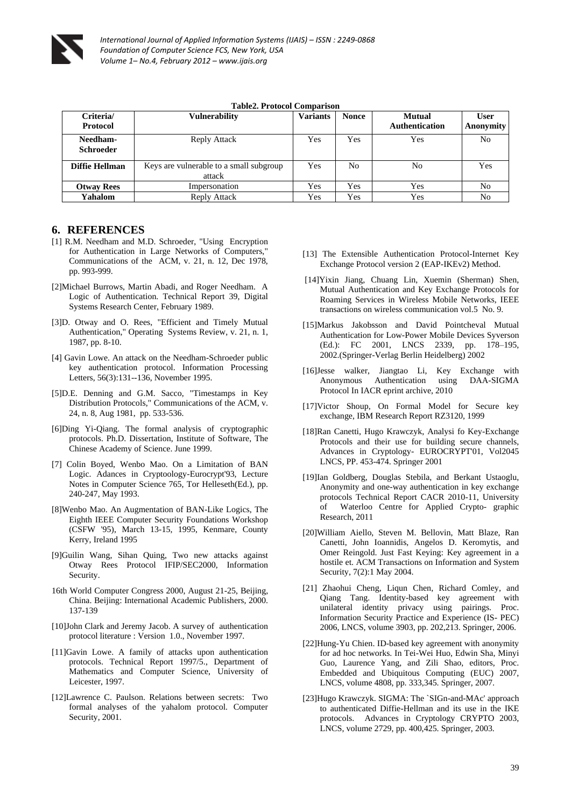

| rabicz, r rotocor comparison |                                                   |                 |              |                                        |                          |  |  |
|------------------------------|---------------------------------------------------|-----------------|--------------|----------------------------------------|--------------------------|--|--|
| Criteria/<br>Protocol        | <b>Vulnerability</b>                              | <b>Variants</b> | <b>Nonce</b> | <b>Mutual</b><br><b>Authentication</b> | <b>User</b><br>Anonymity |  |  |
| Needham-<br><b>Schroeder</b> | Reply Attack                                      | Yes             | Yes          | Yes                                    | No                       |  |  |
| Diffie Hellman               | Keys are vulnerable to a small subgroup<br>attack | Yes             | No           | No                                     | Yes                      |  |  |
| <b>Otway Rees</b>            | Impersonation                                     | Yes             | Yes          | Yes                                    | N <sub>0</sub>           |  |  |
| Yahalom                      | Reply Attack                                      | Yes             | Yes          | Yes                                    | No                       |  |  |

#### **Table2. Protocol Comparison**

## **6. REFERENCES**

- [1] R.M. Needham and M.D. Schroeder, "Using Encryption for Authentication in Large Networks of Computers," Communications of the ACM, v. 21, n. 12, Dec 1978, pp. 993-999.
- [2]Michael Burrows, Martin Abadi, and Roger Needham. A Logic of Authentication. Technical Report 39, Digital Systems Research Center, February 1989.
- [3]D. Otway and O. Rees, "Efficient and Timely Mutual Authentication," Operating Systems Review, v. 21, n. 1, 1987, pp. 8-10.
- [4] Gavin Lowe. An attack on the Needham-Schroeder public key authentication protocol. Information Processing Letters, 56(3):131--136, November 1995.
- [5]D.E. Denning and G.M. Sacco, "Timestamps in Key Distribution Protocols," Communications of the ACM, v. 24, n. 8, Aug 1981, pp. 533-536.
- [6]Ding Yi-Qiang. The formal analysis of cryptographic protocols. Ph.D. Dissertation, Institute of Software, The Chinese Academy of Science. June 1999.
- [7] Colin Boyed, Wenbo Mao. On a Limitation of BAN Logic. Adances in Cryptoology-Eurocrypt'93, Lecture Notes in Computer Science 765, Tor Helleseth(Ed.), pp. 240-247, May 1993.
- [8]Wenbo Mao. An Augmentation of BAN-Like Logics, The Eighth IEEE Computer Security Foundations Workshop (CSFW '95), March 13-15, 1995, Kenmare, County Kerry, Ireland 1995
- [9]Guilin Wang, Sihan Quing, Two new attacks against Otway Rees Protocol IFIP/SEC2000, Information Security.
- 16th World Computer Congress 2000, August 21-25, Beijing, China. Beijing: International Academic Publishers, 2000. 137-139
- [10]John Clark and Jeremy Jacob. A survey of authentication protocol literature : Version 1.0., November 1997.
- [11]Gavin Lowe. A family of attacks upon authentication protocols. Technical Report 1997/5., Department of Mathematics and Computer Science, University of Leicester, 1997.
- [12]Lawrence C. Paulson. Relations between secrets: Two formal analyses of the yahalom protocol. Computer Security, 2001.
- [13] The Extensible Authentication Protocol-Internet Key Exchange Protocol version 2 (EAP-IKEv2) Method.
- [14]Yixin Jiang, Chuang Lin, Xuemin (Sherman) Shen, Mutual Authentication and Key Exchange Protocols for Roaming Services in Wireless Mobile Networks, IEEE transactions on wireless communication vol.5 No. 9.
- [15]Markus Jakobsson and David Pointcheval Mutual Authentication for Low-Power Mobile Devices Syverson (Ed.): FC 2001, LNCS 2339, pp. 178–195, 2002.(Springer-Verlag Berlin Heidelberg) 2002
- [16]Jesse walker, Jiangtao Li, Key Exchange with Anonymous Authentication using DAA-SIGMA Protocol In IACR eprint archive, 2010
- [17]Victor Shoup, On Formal Model for Secure key exchange, IBM Research Report RZ3120, 1999
- [18]Ran Canetti, Hugo Krawczyk, Analysi fo Key-Exchange Protocols and their use for building secure channels, Advances in Cryptology- EUROCRYPT'01, Vol2045 LNCS, PP. 453-474. Springer 2001
- [19]Ian Goldberg, Douglas Stebila, and Berkant Ustaoglu, Anonymity and one-way authentication in key exchange protocols Technical Report CACR 2010-11, University of Waterloo Centre for Applied Crypto- graphic Research, 2011
- [20]William Aiello, Steven M. Bellovin, Matt Blaze, Ran Canetti, John Ioannidis, Angelos D. Keromytis, and Omer Reingold. Just Fast Keying: Key agreement in a hostile et. ACM Transactions on Information and System Security, 7(2):1 May 2004.
- [21] Zhaohui Cheng, Liqun Chen, Richard Comley, and Qiang Tang. Identity-based key agreement with unilateral identity privacy using pairings. Proc. Information Security Practice and Experience (IS- PEC) 2006, LNCS, volume 3903, pp. 202,213. Springer, 2006.
- [22]Hung-Yu Chien. ID-based key agreement with anonymity for ad hoc networks. In Tei-Wei Huo, Edwin Sha, Minyi Guo, Laurence Yang, and Zili Shao, editors, Proc. Embedded and Ubiquitous Computing (EUC) 2007, LNCS, volume 4808, pp. 333,345. Springer, 2007.
- [23]Hugo Krawczyk. SIGMA: The `SIGn-and-MAc' approach to authenticated Diffie-Hellman and its use in the IKE protocols. Advances in Cryptology CRYPTO 2003, LNCS, volume 2729, pp. 400,425. Springer, 2003.